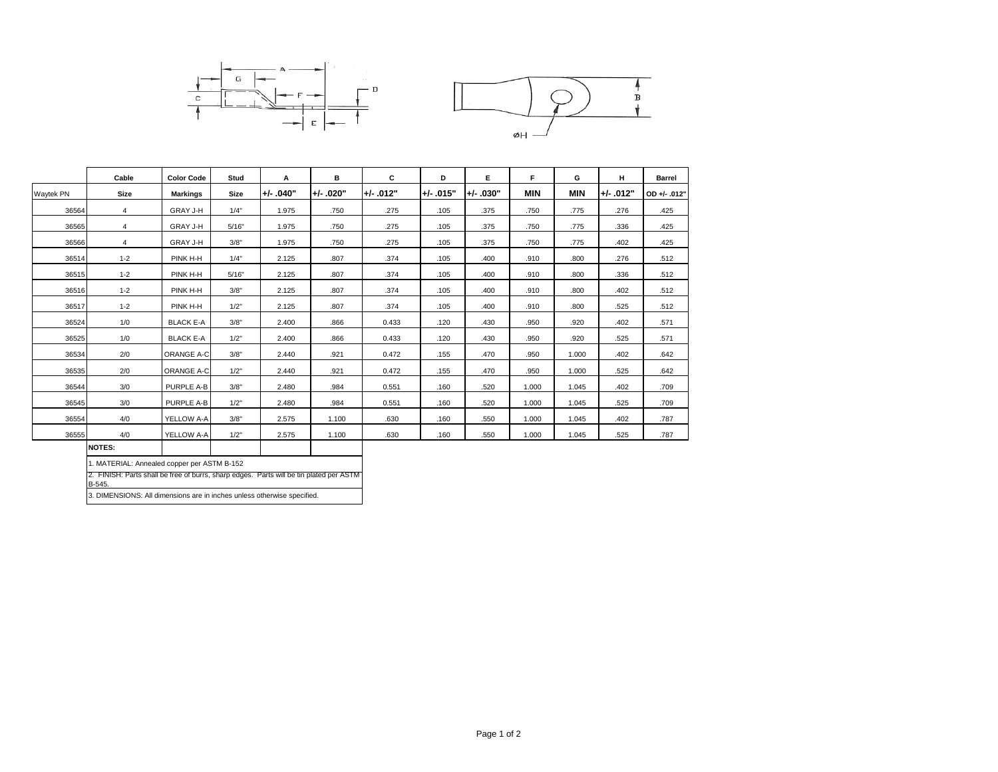

|                |                   |                   |             |             | C           | D           |             | F          |            |             | <b>Barrel</b> |
|----------------|-------------------|-------------------|-------------|-------------|-------------|-------------|-------------|------------|------------|-------------|---------------|
| <b>Size</b>    | <b>Markings</b>   | <b>Size</b>       | $+/- .040"$ | $+/- .020"$ | $+/- .012"$ | $+/- .015"$ | $+/- .030"$ | <b>MIN</b> | <b>MIN</b> | $+/- .012"$ | OD +/- .012'  |
| $\overline{4}$ | GRAY J-H          | 1/4"              | 1.975       | .750        | .275        | .105        | .375        | .750       | .775       | .276        | .425          |
| 4              | GRAY J-H          | 5/16"             | 1.975       | .750        | .275        | .105        | .375        | .750       | .775       | .336        | .425          |
| 4              | GRAY J-H          | 3/8"              | 1.975       | .750        | .275        | .105        | .375        | .750       | .775       | .402        | .425          |
| $1 - 2$        | PINK H-H          | 1/4"              | 2.125       | .807        | .374        | .105        | .400        | .910       | .800       | .276        | .512          |
| $1 - 2$        | PINK H-H          | 5/16"             | 2.125       | .807        | .374        | .105        | .400        | .910       | .800       | .336        | .512          |
| $1 - 2$        | PINK H-H          | 3/8"              | 2.125       | .807        | .374        | .105        | .400        | .910       | .800       | .402        | .512          |
| $1 - 2$        | PINK H-H          | 1/2"              | 2.125       | .807        | .374        | .105        | .400        | .910       | .800       | .525        | .512          |
| 1/0            | <b>BLACK E-A</b>  | 3/8"              | 2.400       | .866        | 0.433       | .120        | .430        | .950       | .920       | .402        | .571          |
| 1/0            | <b>BLACK E-A</b>  | 1/2"              | 2.400       | .866        | 0.433       | .120        | .430        | .950       | .920       | .525        | .571          |
| 2/0            | <b>ORANGE A-C</b> | 3/8"              | 2.440       | .921        | 0.472       | .155        | .470        | .950       | 1.000      | .402        | .642          |
| 2/0            | ORANGE A-C        | 1/2"              | 2.440       | .921        | 0.472       | .155        | .470        | .950       | 1.000      | .525        | .642          |
| 3/0            | PURPLE A-B        | 3/8"              | 2.480       | .984        | 0.551       | .160        | .520        | 1.000      | 1.045      | .402        | .709          |
| 3/0            | <b>PURPLE A-B</b> | 1/2"              | 2.480       | .984        | 0.551       | .160        | .520        | 1.000      | 1.045      | .525        | .709          |
| 4/0            | YELLOW A-A        | 3/8"              | 2.575       | 1.100       | .630        | .160        | .550        | 1.000      | 1.045      | .402        | .787          |
| 4/0            | YELLOW A-A        | 1/2"              | 2.575       | 1.100       | .630        | .160        | .550        | 1.000      | 1.045      | .525        | .787          |
|                | Cable             | <b>Color Code</b> | Stud        | A           | в           |             |             | Е          |            | G           | н             |

**NOTES:**

3. DIMENSIONS: All dimensions are in inches unless otherwise specified. 1. MATERIAL: Annealed copper per ASTM B-152 2. FINISH: Parts shall be free of burrs, sharp edges. Parts will be tin plated per ASTM B-545.